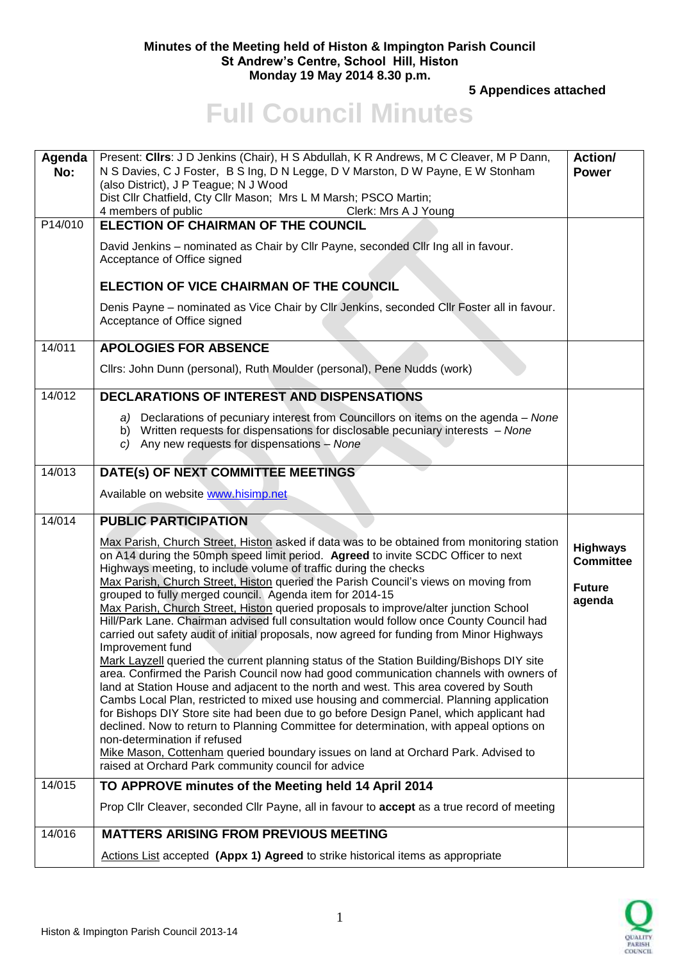## **Minutes of the Meeting held of Histon & Impington Parish Council St Andrew's Centre, School Hill, Histon Monday 19 May 2014 8.30 p.m.**

**5 Appendices attached** 

## **Full Council Minutes**

| Agenda  | Present: Cllrs: J D Jenkins (Chair), H S Abdullah, K R Andrews, M C Cleaver, M P Dann,                                                                                                                                                                                                                                                                                                                                                                                                                                                                                                                                                                                                                                                                                                                                                                                                                                                                                                                                                                                                                                                                                                       | Action/                             |
|---------|----------------------------------------------------------------------------------------------------------------------------------------------------------------------------------------------------------------------------------------------------------------------------------------------------------------------------------------------------------------------------------------------------------------------------------------------------------------------------------------------------------------------------------------------------------------------------------------------------------------------------------------------------------------------------------------------------------------------------------------------------------------------------------------------------------------------------------------------------------------------------------------------------------------------------------------------------------------------------------------------------------------------------------------------------------------------------------------------------------------------------------------------------------------------------------------------|-------------------------------------|
| No:     | N S Davies, C J Foster, B S Ing, D N Legge, D V Marston, D W Payne, E W Stonham<br>(also District), J P Teague; N J Wood                                                                                                                                                                                                                                                                                                                                                                                                                                                                                                                                                                                                                                                                                                                                                                                                                                                                                                                                                                                                                                                                     | <b>Power</b>                        |
|         | Dist Cllr Chatfield, Cty Cllr Mason; Mrs L M Marsh; PSCO Martin;                                                                                                                                                                                                                                                                                                                                                                                                                                                                                                                                                                                                                                                                                                                                                                                                                                                                                                                                                                                                                                                                                                                             |                                     |
|         | 4 members of public<br>Clerk: Mrs A J Young                                                                                                                                                                                                                                                                                                                                                                                                                                                                                                                                                                                                                                                                                                                                                                                                                                                                                                                                                                                                                                                                                                                                                  |                                     |
| P14/010 | <b>ELECTION OF CHAIRMAN OF THE COUNCIL</b>                                                                                                                                                                                                                                                                                                                                                                                                                                                                                                                                                                                                                                                                                                                                                                                                                                                                                                                                                                                                                                                                                                                                                   |                                     |
|         | David Jenkins - nominated as Chair by Cllr Payne, seconded Cllr Ing all in favour.<br>Acceptance of Office signed                                                                                                                                                                                                                                                                                                                                                                                                                                                                                                                                                                                                                                                                                                                                                                                                                                                                                                                                                                                                                                                                            |                                     |
|         | ELECTION OF VICE CHAIRMAN OF THE COUNCIL                                                                                                                                                                                                                                                                                                                                                                                                                                                                                                                                                                                                                                                                                                                                                                                                                                                                                                                                                                                                                                                                                                                                                     |                                     |
|         | Denis Payne - nominated as Vice Chair by Cllr Jenkins, seconded Cllr Foster all in favour.<br>Acceptance of Office signed                                                                                                                                                                                                                                                                                                                                                                                                                                                                                                                                                                                                                                                                                                                                                                                                                                                                                                                                                                                                                                                                    |                                     |
| 14/011  | <b>APOLOGIES FOR ABSENCE</b>                                                                                                                                                                                                                                                                                                                                                                                                                                                                                                                                                                                                                                                                                                                                                                                                                                                                                                                                                                                                                                                                                                                                                                 |                                     |
|         | Clirs: John Dunn (personal), Ruth Moulder (personal), Pene Nudds (work)                                                                                                                                                                                                                                                                                                                                                                                                                                                                                                                                                                                                                                                                                                                                                                                                                                                                                                                                                                                                                                                                                                                      |                                     |
| 14/012  | <b>DECLARATIONS OF INTEREST AND DISPENSATIONS</b>                                                                                                                                                                                                                                                                                                                                                                                                                                                                                                                                                                                                                                                                                                                                                                                                                                                                                                                                                                                                                                                                                                                                            |                                     |
|         | a) Declarations of pecuniary interest from Councillors on items on the agenda – None<br>b) Written requests for dispensations for disclosable pecuniary interests - None<br>c) Any new requests for dispensations - None                                                                                                                                                                                                                                                                                                                                                                                                                                                                                                                                                                                                                                                                                                                                                                                                                                                                                                                                                                     |                                     |
| 14/013  | DATE(s) OF NEXT COMMITTEE MEETINGS                                                                                                                                                                                                                                                                                                                                                                                                                                                                                                                                                                                                                                                                                                                                                                                                                                                                                                                                                                                                                                                                                                                                                           |                                     |
|         | Available on website www.hisimp.net                                                                                                                                                                                                                                                                                                                                                                                                                                                                                                                                                                                                                                                                                                                                                                                                                                                                                                                                                                                                                                                                                                                                                          |                                     |
| 14/014  | <b>PUBLIC PARTICIPATION</b>                                                                                                                                                                                                                                                                                                                                                                                                                                                                                                                                                                                                                                                                                                                                                                                                                                                                                                                                                                                                                                                                                                                                                                  |                                     |
|         | Max Parish, Church Street, Histon asked if data was to be obtained from monitoring station<br>on A14 during the 50mph speed limit period. Agreed to invite SCDC Officer to next<br>Highways meeting, to include volume of traffic during the checks                                                                                                                                                                                                                                                                                                                                                                                                                                                                                                                                                                                                                                                                                                                                                                                                                                                                                                                                          | <b>Highways</b><br><b>Committee</b> |
|         | Max Parish, Church Street, Histon queried the Parish Council's views on moving from<br>grouped to fully merged council. Agenda item for 2014-15<br>Max Parish, Church Street, Histon queried proposals to improve/alter junction School<br>Hill/Park Lane. Chairman advised full consultation would follow once County Council had<br>carried out safety audit of initial proposals, now agreed for funding from Minor Highways<br>Improvement fund<br>Mark Layzell queried the current planning status of the Station Building/Bishops DIY site<br>area. Confirmed the Parish Council now had good communication channels with owners of<br>land at Station House and adjacent to the north and west. This area covered by South<br>Cambs Local Plan, restricted to mixed use housing and commercial. Planning application<br>for Bishops DIY Store site had been due to go before Design Panel, which applicant had<br>declined. Now to return to Planning Committee for determination, with appeal options on<br>non-determination if refused<br>Mike Mason, Cottenham queried boundary issues on land at Orchard Park. Advised to<br>raised at Orchard Park community council for advice | <b>Future</b><br>agenda             |
| 14/015  | TO APPROVE minutes of the Meeting held 14 April 2014                                                                                                                                                                                                                                                                                                                                                                                                                                                                                                                                                                                                                                                                                                                                                                                                                                                                                                                                                                                                                                                                                                                                         |                                     |
|         | Prop Cllr Cleaver, seconded Cllr Payne, all in favour to accept as a true record of meeting                                                                                                                                                                                                                                                                                                                                                                                                                                                                                                                                                                                                                                                                                                                                                                                                                                                                                                                                                                                                                                                                                                  |                                     |
| 14/016  | <b>MATTERS ARISING FROM PREVIOUS MEETING</b>                                                                                                                                                                                                                                                                                                                                                                                                                                                                                                                                                                                                                                                                                                                                                                                                                                                                                                                                                                                                                                                                                                                                                 |                                     |

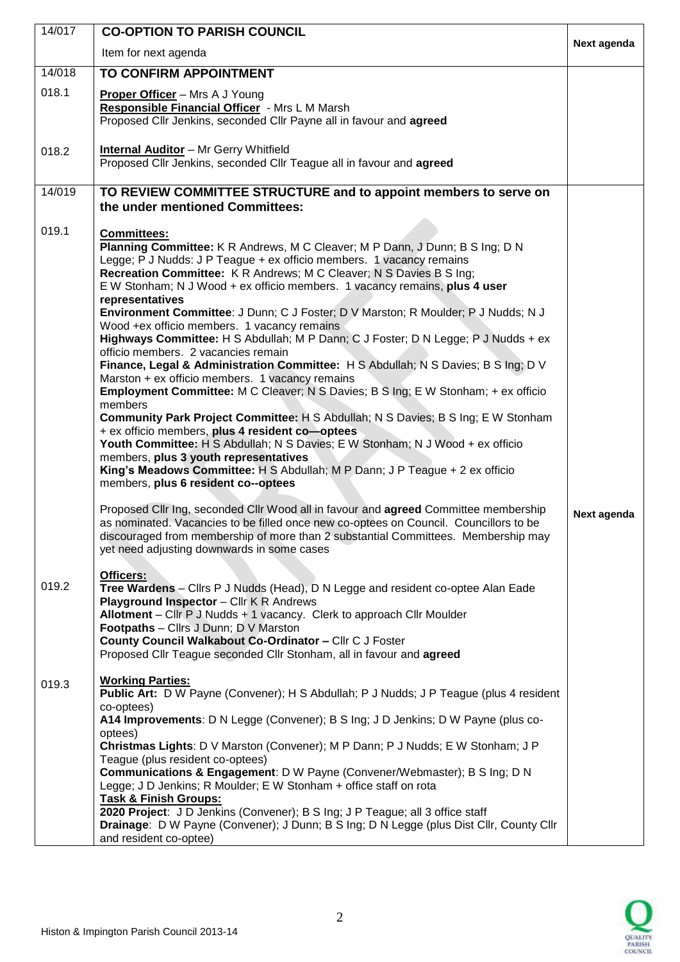| 14/017 | <b>CO-OPTION TO PARISH COUNCIL</b>                                                                                                                                                                                                                                                                                                                                                                                                                                                                                                                                                                                                                                                                                                                                                                                                                                                                                                                                                                                                                                                                                                                                                                                                                                                                                                       |             |
|--------|------------------------------------------------------------------------------------------------------------------------------------------------------------------------------------------------------------------------------------------------------------------------------------------------------------------------------------------------------------------------------------------------------------------------------------------------------------------------------------------------------------------------------------------------------------------------------------------------------------------------------------------------------------------------------------------------------------------------------------------------------------------------------------------------------------------------------------------------------------------------------------------------------------------------------------------------------------------------------------------------------------------------------------------------------------------------------------------------------------------------------------------------------------------------------------------------------------------------------------------------------------------------------------------------------------------------------------------|-------------|
|        | Item for next agenda                                                                                                                                                                                                                                                                                                                                                                                                                                                                                                                                                                                                                                                                                                                                                                                                                                                                                                                                                                                                                                                                                                                                                                                                                                                                                                                     | Next agenda |
| 14/018 | <b>TO CONFIRM APPOINTMENT</b>                                                                                                                                                                                                                                                                                                                                                                                                                                                                                                                                                                                                                                                                                                                                                                                                                                                                                                                                                                                                                                                                                                                                                                                                                                                                                                            |             |
| 018.1  | <b>Proper Officer</b> – Mrs A J Young<br>Responsible Financial Officer - Mrs L M Marsh<br>Proposed Cllr Jenkins, seconded Cllr Payne all in favour and agreed                                                                                                                                                                                                                                                                                                                                                                                                                                                                                                                                                                                                                                                                                                                                                                                                                                                                                                                                                                                                                                                                                                                                                                            |             |
| 018.2  | <b>Internal Auditor</b> - Mr Gerry Whitfield<br>Proposed Cllr Jenkins, seconded Cllr Teague all in favour and agreed                                                                                                                                                                                                                                                                                                                                                                                                                                                                                                                                                                                                                                                                                                                                                                                                                                                                                                                                                                                                                                                                                                                                                                                                                     |             |
| 14/019 | TO REVIEW COMMITTEE STRUCTURE and to appoint members to serve on<br>the under mentioned Committees:                                                                                                                                                                                                                                                                                                                                                                                                                                                                                                                                                                                                                                                                                                                                                                                                                                                                                                                                                                                                                                                                                                                                                                                                                                      |             |
| 019.1  | <b>Committees:</b><br>Planning Committee: K R Andrews, M C Cleaver; M P Dann, J Dunn; B S Ing; D N<br>Legge; P J Nudds: J P Teague + ex officio members. 1 vacancy remains<br>Recreation Committee: K R Andrews; M C Cleaver; N S Davies B S Ing;<br>E W Stonham; N J Wood + ex officio members. 1 vacancy remains, plus 4 user<br>representatives<br>Environment Committee: J Dunn; C J Foster; D V Marston; R Moulder; P J Nudds; N J<br>Wood +ex officio members. 1 vacancy remains<br>Highways Committee: H S Abdullah; M P Dann; C J Foster; D N Legge; P J Nudds + ex<br>officio members. 2 vacancies remain<br>Finance, Legal & Administration Committee: H S Abdullah; N S Davies; B S Ing; D V<br>Marston + ex officio members. 1 vacancy remains<br>Employment Committee: M C Cleaver; N S Davies; B S Ing; E W Stonham; + ex officio<br>members<br>Community Park Project Committee: H S Abdullah; N S Davies; B S Ing; E W Stonham<br>+ ex officio members, plus 4 resident co-optees<br>Youth Committee: H S Abdullah; N S Davies; E W Stonham; N J Wood + ex officio<br>members, plus 3 youth representatives<br>King's Meadows Committee: H S Abdullah; M P Dann; J P Teague + 2 ex officio<br>members, plus 6 resident co--optees<br>Proposed Cllr Ing, seconded Cllr Wood all in favour and agreed Committee membership |             |
|        | as nominated. Vacancies to be filled once new co-optees on Council. Councillors to be<br>discouraged from membership of more than 2 substantial Committees. Membership may<br>yet need adjusting downwards in some cases                                                                                                                                                                                                                                                                                                                                                                                                                                                                                                                                                                                                                                                                                                                                                                                                                                                                                                                                                                                                                                                                                                                 | Next agenda |
| 019.2  | Officers:<br><b>Tree Wardens</b> – Clirs P J Nudds (Head), D N Legge and resident co-optee Alan Eade<br><b>Playground Inspector - Cllr K R Andrews</b><br>Allotment - Cllr P J Nudds + 1 vacancy. Clerk to approach Cllr Moulder<br><b>Footpaths</b> - Clirs J Dunn; D V Marston<br>County Council Walkabout Co-Ordinator - Cllr C J Foster<br>Proposed Cllr Teague seconded Cllr Stonham, all in favour and agreed                                                                                                                                                                                                                                                                                                                                                                                                                                                                                                                                                                                                                                                                                                                                                                                                                                                                                                                      |             |
| 019.3  | <b>Working Parties:</b><br>Public Art: D W Payne (Convener); H S Abdullah; P J Nudds; J P Teague (plus 4 resident<br>co-optees)<br>A14 Improvements: D N Legge (Convener); B S Ing; J D Jenkins; D W Payne (plus co-<br>optees)<br>Christmas Lights: D V Marston (Convener); M P Dann; P J Nudds; E W Stonham; J P<br>Teague (plus resident co-optees)<br>Communications & Engagement: D W Payne (Convener/Webmaster); B S Ing; D N<br>Legge; J D Jenkins; R Moulder; E W Stonham + office staff on rota<br>Task & Finish Groups:<br>2020 Project: J D Jenkins (Convener); B S Ing; J P Teague; all 3 office staff<br>Drainage: D W Payne (Convener); J Dunn; B S Ing; D N Legge (plus Dist Cllr, County Cllr<br>and resident co-optee)                                                                                                                                                                                                                                                                                                                                                                                                                                                                                                                                                                                                  |             |

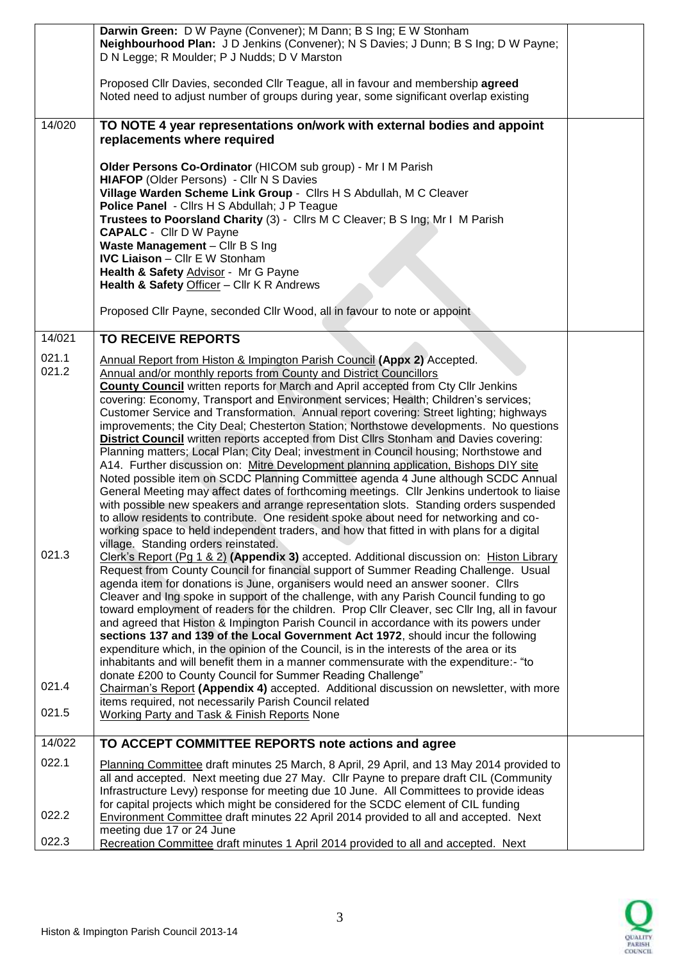|                | Darwin Green: D W Payne (Convener); M Dann; B S Ing; E W Stonham<br>Neighbourhood Plan: J D Jenkins (Convener); N S Davies; J Dunn; B S Ing; D W Payne;<br>D N Legge; R Moulder; P J Nudds; D V Marston<br>Proposed Cllr Davies, seconded Cllr Teague, all in favour and membership agreed<br>Noted need to adjust number of groups during year, some significant overlap existing |  |
|----------------|------------------------------------------------------------------------------------------------------------------------------------------------------------------------------------------------------------------------------------------------------------------------------------------------------------------------------------------------------------------------------------|--|
| 14/020         | TO NOTE 4 year representations on/work with external bodies and appoint                                                                                                                                                                                                                                                                                                            |  |
|                | replacements where required                                                                                                                                                                                                                                                                                                                                                        |  |
|                | Older Persons Co-Ordinator (HICOM sub group) - Mr I M Parish<br>HIAFOP (Older Persons) - Cllr N S Davies                                                                                                                                                                                                                                                                           |  |
|                | Village Warden Scheme Link Group - Cllrs H S Abdullah, M C Cleaver<br>Police Panel - Cllrs H S Abdullah; J P Teague                                                                                                                                                                                                                                                                |  |
|                | Trustees to Poorsland Charity (3) - Cllrs M C Cleaver; B S Ing; Mr I M Parish                                                                                                                                                                                                                                                                                                      |  |
|                | <b>CAPALC</b> - Cllr D W Payne<br>Waste Management - Cllr B S Ing                                                                                                                                                                                                                                                                                                                  |  |
|                | <b>IVC Liaison - Cllr E W Stonham</b><br>Health & Safety Advisor - Mr G Payne                                                                                                                                                                                                                                                                                                      |  |
|                | Health & Safety Officer - Cllr K R Andrews                                                                                                                                                                                                                                                                                                                                         |  |
|                | Proposed Cllr Payne, seconded Cllr Wood, all in favour to note or appoint                                                                                                                                                                                                                                                                                                          |  |
| 14/021         | <b>TO RECEIVE REPORTS</b>                                                                                                                                                                                                                                                                                                                                                          |  |
| 021.1<br>021.2 | Annual Report from Histon & Impington Parish Council (Appx 2) Accepted.<br>Annual and/or monthly reports from County and District Councillors                                                                                                                                                                                                                                      |  |
|                | County Council written reports for March and April accepted from Cty Cllr Jenkins                                                                                                                                                                                                                                                                                                  |  |
|                | covering: Economy, Transport and Environment services; Health; Children's services;<br>Customer Service and Transformation. Annual report covering: Street lighting; highways                                                                                                                                                                                                      |  |
|                | improvements; the City Deal; Chesterton Station; Northstowe developments. No questions<br><b>District Council</b> written reports accepted from Dist Cllrs Stonham and Davies covering:                                                                                                                                                                                            |  |
|                | Planning matters; Local Plan; City Deal; investment in Council housing; Northstowe and                                                                                                                                                                                                                                                                                             |  |
|                | A14. Further discussion on: Mitre Development planning application, Bishops DIY site<br>Noted possible item on SCDC Planning Committee agenda 4 June although SCDC Annual                                                                                                                                                                                                          |  |
|                | General Meeting may affect dates of forthcoming meetings. Cllr Jenkins undertook to liaise<br>with possible new speakers and arrange representation slots. Standing orders suspended                                                                                                                                                                                               |  |
|                | to allow residents to contribute. One resident spoke about need for networking and co-                                                                                                                                                                                                                                                                                             |  |
|                | working space to held independent traders, and how that fitted in with plans for a digital<br>village. Standing orders reinstated.                                                                                                                                                                                                                                                 |  |
| 021.3          | Clerk's Report (Pg 1 & 2) (Appendix 3) accepted. Additional discussion on: Histon Library<br>Request from County Council for financial support of Summer Reading Challenge. Usual                                                                                                                                                                                                  |  |
|                | agenda item for donations is June, organisers would need an answer sooner. Clirs                                                                                                                                                                                                                                                                                                   |  |
|                | Cleaver and Ing spoke in support of the challenge, with any Parish Council funding to go<br>toward employment of readers for the children. Prop Cllr Cleaver, sec Cllr Ing, all in favour                                                                                                                                                                                          |  |
|                | and agreed that Histon & Impington Parish Council in accordance with its powers under<br>sections 137 and 139 of the Local Government Act 1972, should incur the following                                                                                                                                                                                                         |  |
|                | expenditure which, in the opinion of the Council, is in the interests of the area or its<br>inhabitants and will benefit them in a manner commensurate with the expenditure:- "to                                                                                                                                                                                                  |  |
|                | donate £200 to County Council for Summer Reading Challenge"                                                                                                                                                                                                                                                                                                                        |  |
| 021.4          | Chairman's Report (Appendix 4) accepted. Additional discussion on newsletter, with more<br>items required, not necessarily Parish Council related                                                                                                                                                                                                                                  |  |
| 021.5          | <b>Working Party and Task &amp; Finish Reports None</b>                                                                                                                                                                                                                                                                                                                            |  |
| 14/022         | TO ACCEPT COMMITTEE REPORTS note actions and agree                                                                                                                                                                                                                                                                                                                                 |  |
| 022.1          | Planning Committee draft minutes 25 March, 8 April, 29 April, and 13 May 2014 provided to<br>all and accepted. Next meeting due 27 May. Cllr Payne to prepare draft CIL (Community                                                                                                                                                                                                 |  |
|                | Infrastructure Levy) response for meeting due 10 June. All Committees to provide ideas                                                                                                                                                                                                                                                                                             |  |
| 022.2          | for capital projects which might be considered for the SCDC element of CIL funding<br>Environment Committee draft minutes 22 April 2014 provided to all and accepted. Next                                                                                                                                                                                                         |  |
| 022.3          | meeting due 17 or 24 June<br>Recreation Committee draft minutes 1 April 2014 provided to all and accepted. Next                                                                                                                                                                                                                                                                    |  |